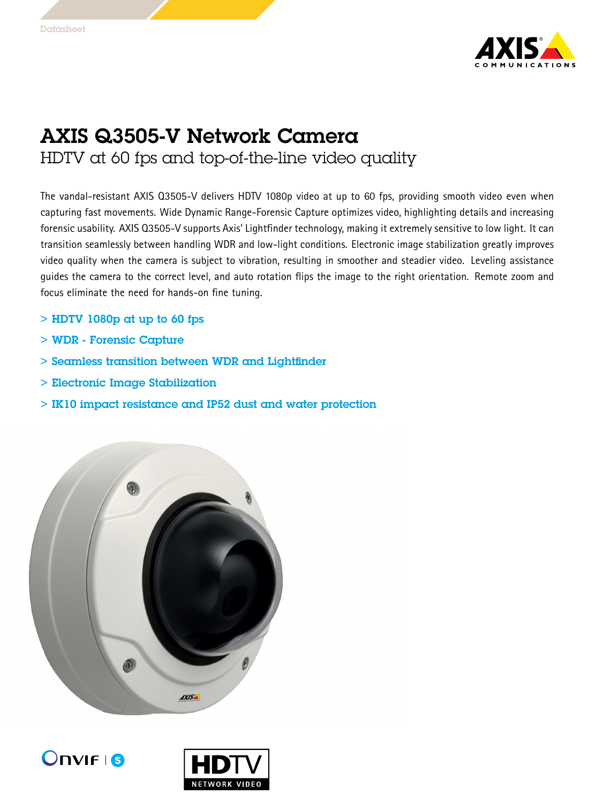

## AXIS Q3505-V Network Camera HDTV at 60 fps and top-of-the-line video quality

The vandal-resistant AXIS Q3505-V delivers HDTV 1080p video at up to 60 fps, providing smooth video even when capturing fast movements. Wide Dynamic Range-Forensic Capture optimizes video, highlighting details and increasing forensic usability. AXIS Q3505-V supports Axis' Lightfinder technology, making it extremely sensitive to low light. It can transition seamlessly between handling WDR and low-light conditions. Electronic image stabilization greatly improves video quality when the camera is subject to vibration, resulting in smoother and steadier video. Leveling assistance guides the camera to the correct level, and auto rotation flips the image to the right orientation. Remote zoom and focus eliminate the need for hands-on fine tuning.

- $>$  HDTV 1080p at up to 60 fps
- > WDR Forensic Capture
- > Seamless transition between WDR and Lightfinder
- > Electronic Image Stabilization
- > IK10 impact resistance and IP52 dust and water protection